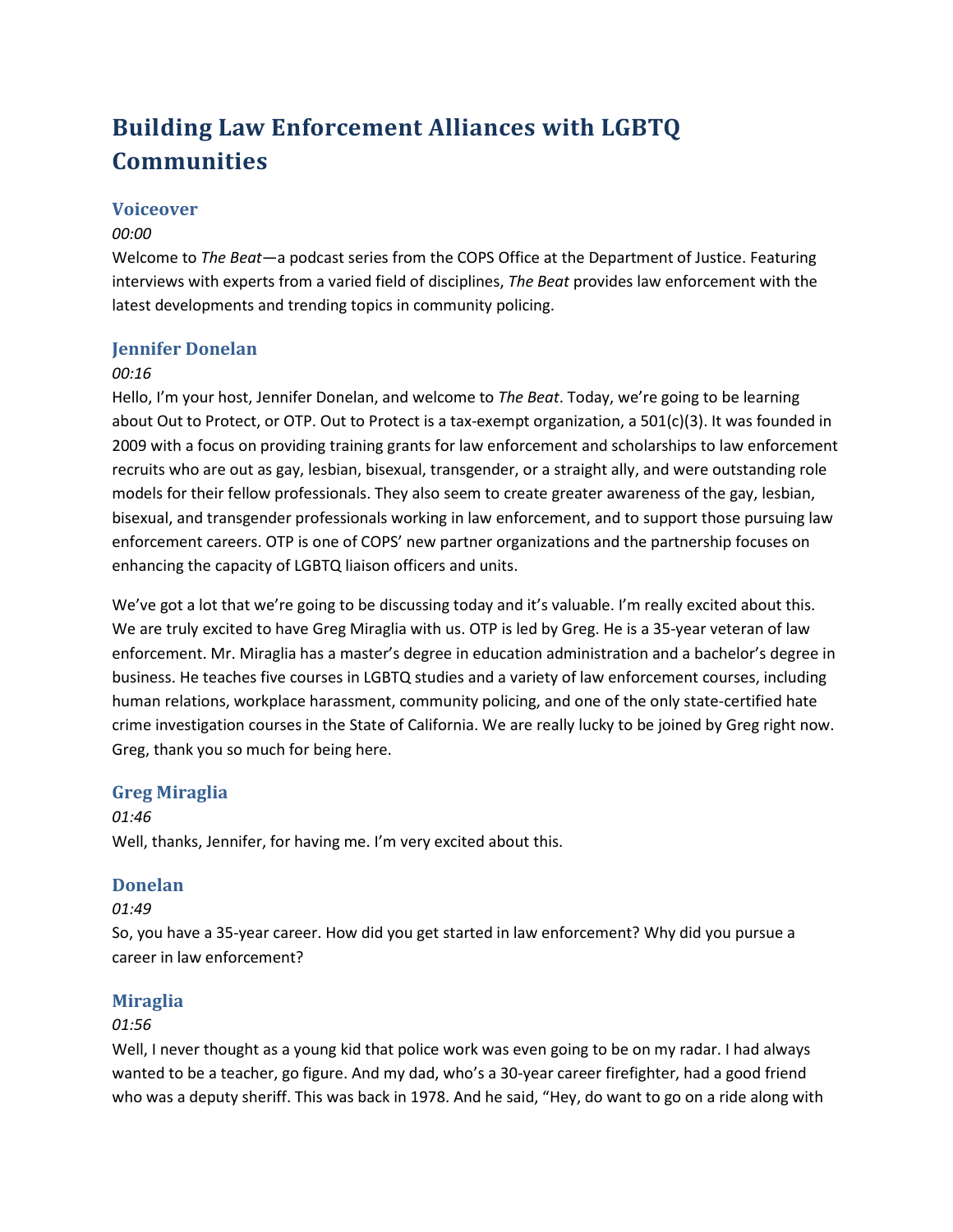# **Building Law Enforcement Alliances with LGBTQ Communities**

# **Voiceover**

# *00:00*

Welcome to *The Beat*—a podcast series from the COPS Office at the Department of Justice. Featuring interviews with experts from a varied field of disciplines, *The Beat* provides law enforcement with the latest developments and trending topics in community policing.

# **Jennifer Donelan**

## *00:16*

Hello, I'm your host, Jennifer Donelan, and welcome to *The Beat*. Today, we're going to be learning about Out to Protect, or OTP. Out to Protect is a tax-exempt organization, a 501(c)(3). It was founded in 2009 with a focus on providing training grants for law enforcement and scholarships to law enforcement recruits who are out as gay, lesbian, bisexual, transgender, or a straight ally, and were outstanding role models for their fellow professionals. They also seem to create greater awareness of the gay, lesbian, bisexual, and transgender professionals working in law enforcement, and to support those pursuing law enforcement careers. OTP is one of COPS' new partner organizations and the partnership focuses on enhancing the capacity of LGBTQ liaison officers and units.

We've got a lot that we're going to be discussing today and it's valuable. I'm really excited about this. We are truly excited to have Greg Miraglia with us. OTP is led by Greg. He is a 35-year veteran of law enforcement. Mr. Miraglia has a master's degree in education administration and a bachelor's degree in business. He teaches five courses in LGBTQ studies and a variety of law enforcement courses, including human relations, workplace harassment, community policing, and one of the only state-certified hate crime investigation courses in the State of California. We are really lucky to be joined by Greg right now. Greg, thank you so much for being here.

# **Greg Miraglia**

*01:46* Well, thanks, Jennifer, for having me. I'm very excited about this.

# **Donelan**

# *01:49*

So, you have a 35-year career. How did you get started in law enforcement? Why did you pursue a career in law enforcement?

# **Miraglia**

## *01:56*

Well, I never thought as a young kid that police work was even going to be on my radar. I had always wanted to be a teacher, go figure. And my dad, who's a 30-year career firefighter, had a good friend who was a deputy sheriff. This was back in 1978. And he said, "Hey, do want to go on a ride along with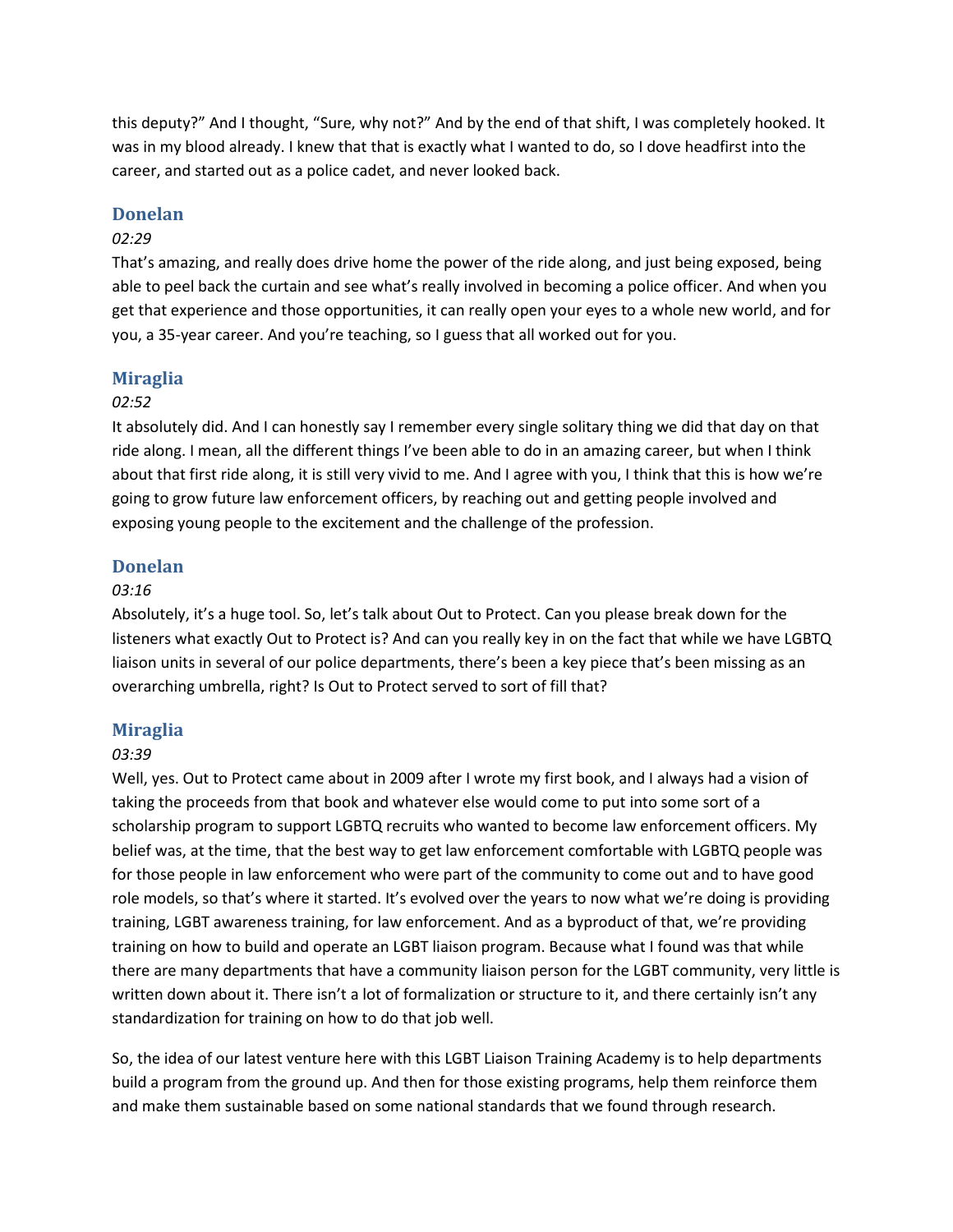this deputy?" And I thought, "Sure, why not?" And by the end of that shift, I was completely hooked. It was in my blood already. I knew that that is exactly what I wanted to do, so I dove headfirst into the career, and started out as a police cadet, and never looked back.

#### **Donelan**

#### *02:29*

That's amazing, and really does drive home the power of the ride along, and just being exposed, being able to peel back the curtain and see what's really involved in becoming a police officer. And when you get that experience and those opportunities, it can really open your eyes to a whole new world, and for you, a 35-year career. And you're teaching, so I guess that all worked out for you.

#### **Miraglia**

#### *02:52*

It absolutely did. And I can honestly say I remember every single solitary thing we did that day on that ride along. I mean, all the different things I've been able to do in an amazing career, but when I think about that first ride along, it is still very vivid to me. And I agree with you, I think that this is how we're going to grow future law enforcement officers, by reaching out and getting people involved and exposing young people to the excitement and the challenge of the profession.

#### **Donelan**

## *03:16*

Absolutely, it's a huge tool. So, let's talk about Out to Protect. Can you please break down for the listeners what exactly Out to Protect is? And can you really key in on the fact that while we have LGBTQ liaison units in several of our police departments, there's been a key piece that's been missing as an overarching umbrella, right? Is Out to Protect served to sort of fill that?

#### **Miraglia**

#### *03:39*

Well, yes. Out to Protect came about in 2009 after I wrote my first book, and I always had a vision of taking the proceeds from that book and whatever else would come to put into some sort of a scholarship program to support LGBTQ recruits who wanted to become law enforcement officers. My belief was, at the time, that the best way to get law enforcement comfortable with LGBTQ people was for those people in law enforcement who were part of the community to come out and to have good role models, so that's where it started. It's evolved over the years to now what we're doing is providing training, LGBT awareness training, for law enforcement. And as a byproduct of that, we're providing training on how to build and operate an LGBT liaison program. Because what I found was that while there are many departments that have a community liaison person for the LGBT community, very little is written down about it. There isn't a lot of formalization or structure to it, and there certainly isn't any standardization for training on how to do that job well.

So, the idea of our latest venture here with this LGBT Liaison Training Academy is to help departments build a program from the ground up. And then for those existing programs, help them reinforce them and make them sustainable based on some national standards that we found through research.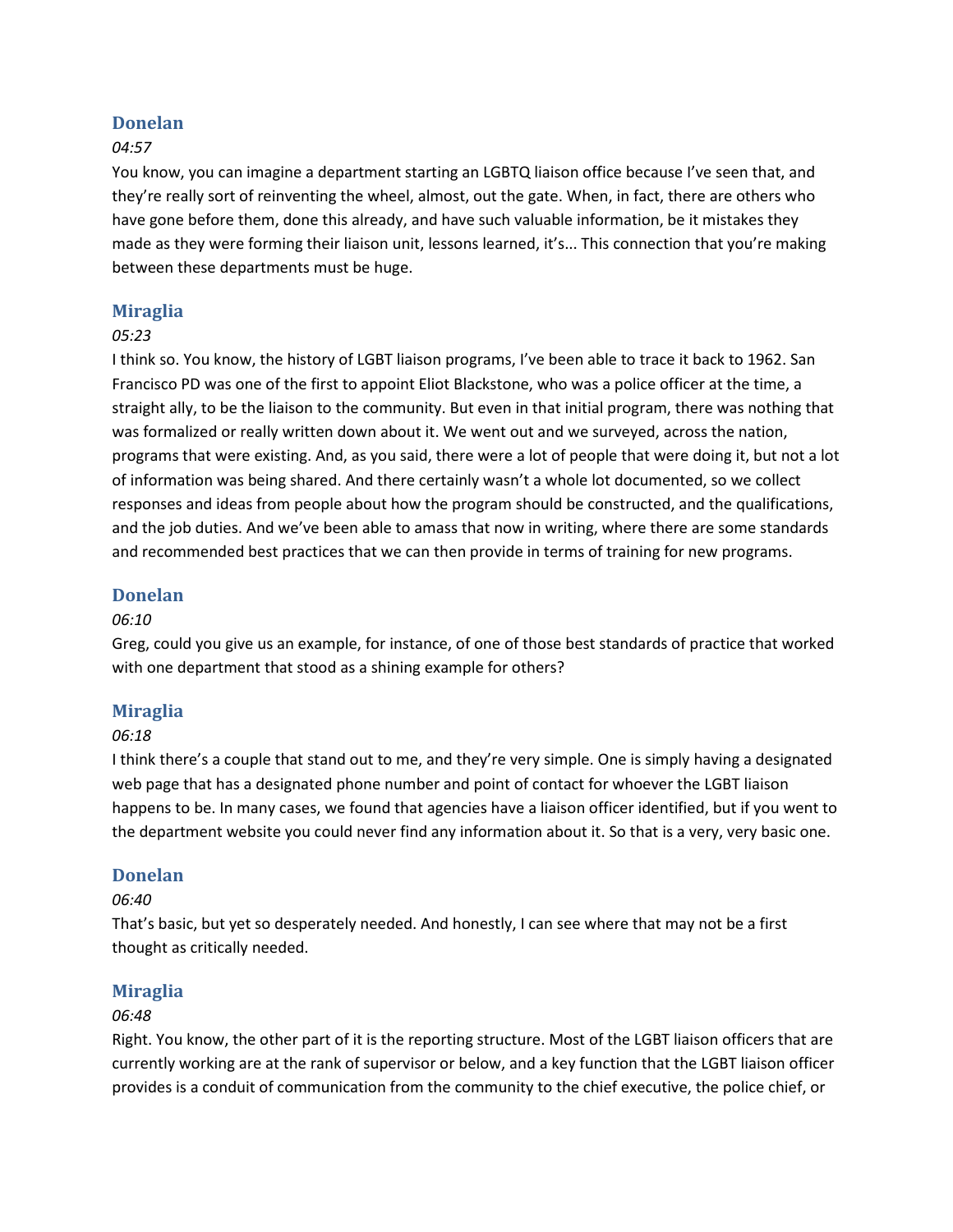## **Donelan**

## *04:57*

You know, you can imagine a department starting an LGBTQ liaison office because I've seen that, and they're really sort of reinventing the wheel, almost, out the gate. When, in fact, there are others who have gone before them, done this already, and have such valuable information, be it mistakes they made as they were forming their liaison unit, lessons learned, it's... This connection that you're making between these departments must be huge.

## **Miraglia**

#### *05:23*

I think so. You know, the history of LGBT liaison programs, I've been able to trace it back to 1962. San Francisco PD was one of the first to appoint Eliot Blackstone, who was a police officer at the time, a straight ally, to be the liaison to the community. But even in that initial program, there was nothing that was formalized or really written down about it. We went out and we surveyed, across the nation, programs that were existing. And, as you said, there were a lot of people that were doing it, but not a lot of information was being shared. And there certainly wasn't a whole lot documented, so we collect responses and ideas from people about how the program should be constructed, and the qualifications, and the job duties. And we've been able to amass that now in writing, where there are some standards and recommended best practices that we can then provide in terms of training for new programs.

## **Donelan**

#### *06:10*

Greg, could you give us an example, for instance, of one of those best standards of practice that worked with one department that stood as a shining example for others?

## **Miraglia**

#### *06:18*

I think there's a couple that stand out to me, and they're very simple. One is simply having a designated web page that has a designated phone number and point of contact for whoever the LGBT liaison happens to be. In many cases, we found that agencies have a liaison officer identified, but if you went to the department website you could never find any information about it. So that is a very, very basic one.

#### **Donelan**

## *06:40*

That's basic, but yet so desperately needed. And honestly, I can see where that may not be a first thought as critically needed.

#### **Miraglia**

#### *06:48*

Right. You know, the other part of it is the reporting structure. Most of the LGBT liaison officers that are currently working are at the rank of supervisor or below, and a key function that the LGBT liaison officer provides is a conduit of communication from the community to the chief executive, the police chief, or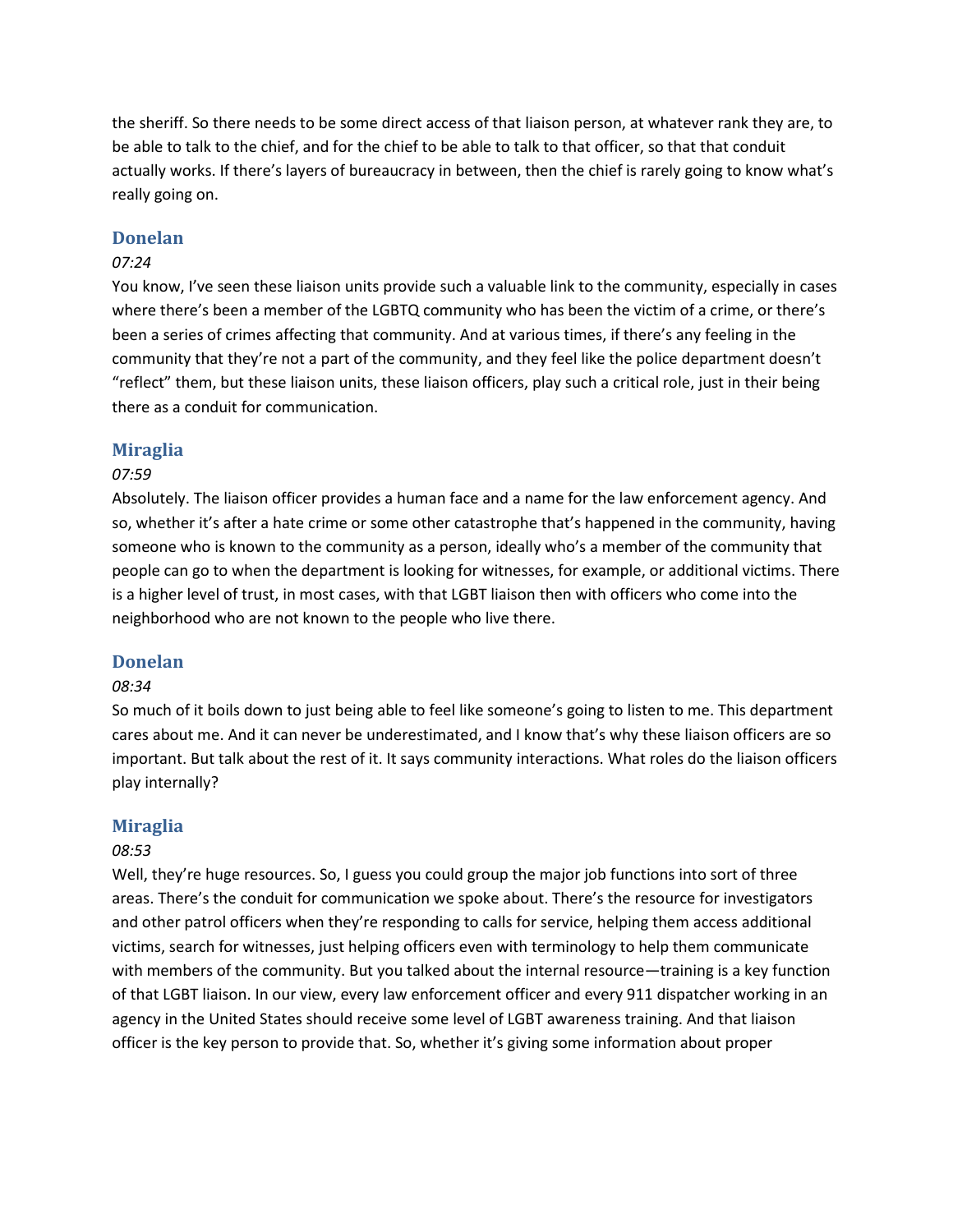the sheriff. So there needs to be some direct access of that liaison person, at whatever rank they are, to be able to talk to the chief, and for the chief to be able to talk to that officer, so that that conduit actually works. If there's layers of bureaucracy in between, then the chief is rarely going to know what's really going on.

## **Donelan**

#### *07:24*

You know, I've seen these liaison units provide such a valuable link to the community, especially in cases where there's been a member of the LGBTQ community who has been the victim of a crime, or there's been a series of crimes affecting that community. And at various times, if there's any feeling in the community that they're not a part of the community, and they feel like the police department doesn't "reflect" them, but these liaison units, these liaison officers, play such a critical role, just in their being there as a conduit for communication.

## **Miraglia**

#### *07:59*

Absolutely. The liaison officer provides a human face and a name for the law enforcement agency. And so, whether it's after a hate crime or some other catastrophe that's happened in the community, having someone who is known to the community as a person, ideally who's a member of the community that people can go to when the department is looking for witnesses, for example, or additional victims. There is a higher level of trust, in most cases, with that LGBT liaison then with officers who come into the neighborhood who are not known to the people who live there.

#### **Donelan**

#### *08:34*

So much of it boils down to just being able to feel like someone's going to listen to me. This department cares about me. And it can never be underestimated, and I know that's why these liaison officers are so important. But talk about the rest of it. It says community interactions. What roles do the liaison officers play internally?

#### **Miraglia**

#### *08:53*

Well, they're huge resources. So, I guess you could group the major job functions into sort of three areas. There's the conduit for communication we spoke about. There's the resource for investigators and other patrol officers when they're responding to calls for service, helping them access additional victims, search for witnesses, just helping officers even with terminology to help them communicate with members of the community. But you talked about the internal resource—training is a key function of that LGBT liaison. In our view, every law enforcement officer and every 911 dispatcher working in an agency in the United States should receive some level of LGBT awareness training. And that liaison officer is the key person to provide that. So, whether it's giving some information about proper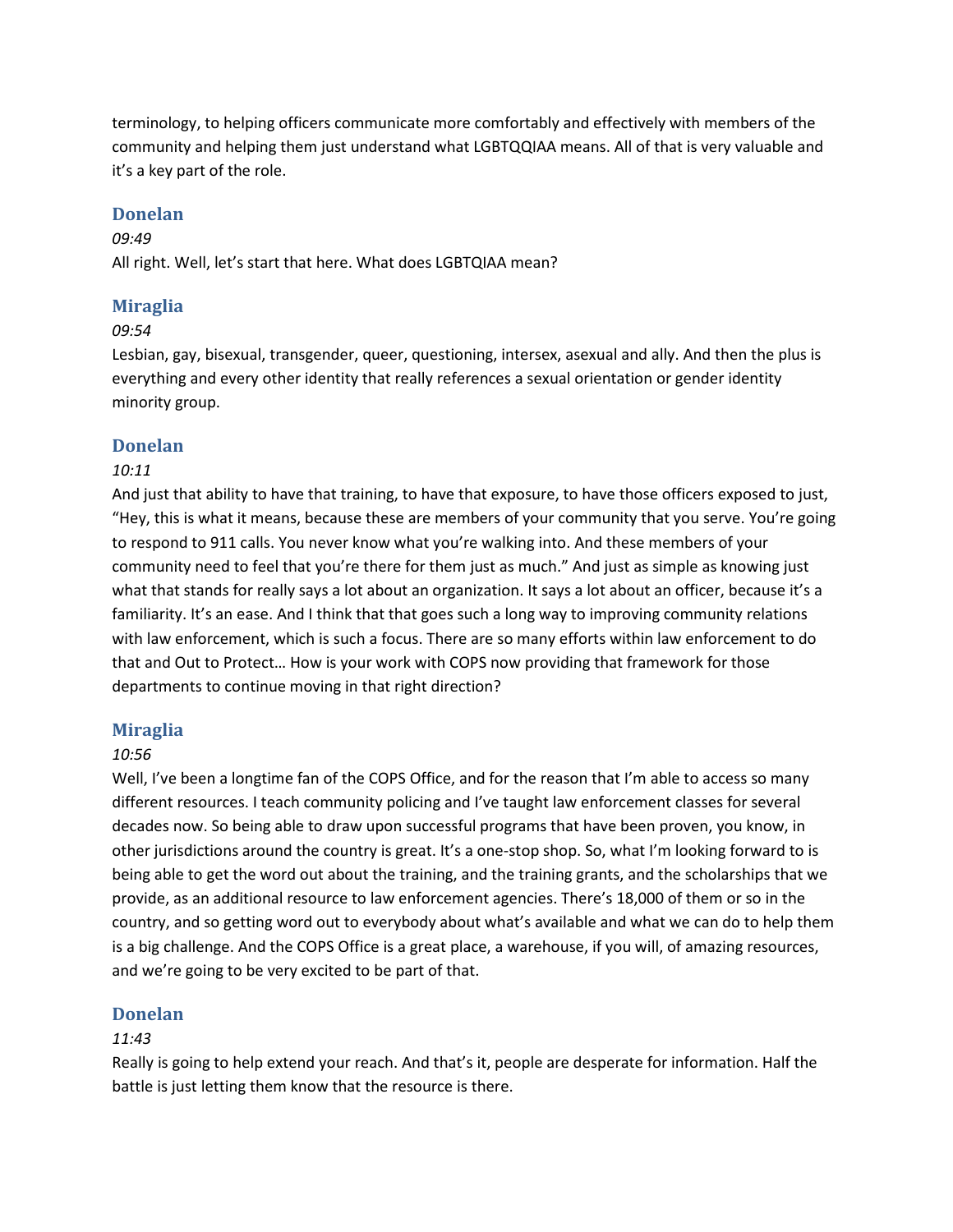terminology, to helping officers communicate more comfortably and effectively with members of the community and helping them just understand what LGBTQQIAA means. All of that is very valuable and it's a key part of the role.

# **Donelan**

#### *09:49*

All right. Well, let's start that here. What does LGBTQIAA mean?

# **Miraglia**

#### *09:54*

Lesbian, gay, bisexual, transgender, queer, questioning, intersex, asexual and ally. And then the plus is everything and every other identity that really references a sexual orientation or gender identity minority group.

## **Donelan**

## *10:11*

And just that ability to have that training, to have that exposure, to have those officers exposed to just, "Hey, this is what it means, because these are members of your community that you serve. You're going to respond to 911 calls. You never know what you're walking into. And these members of your community need to feel that you're there for them just as much." And just as simple as knowing just what that stands for really says a lot about an organization. It says a lot about an officer, because it's a familiarity. It's an ease. And I think that that goes such a long way to improving community relations with law enforcement, which is such a focus. There are so many efforts within law enforcement to do that and Out to Protect… How is your work with COPS now providing that framework for those departments to continue moving in that right direction?

## **Miraglia**

## *10:56*

Well, I've been a longtime fan of the COPS Office, and for the reason that I'm able to access so many different resources. I teach community policing and I've taught law enforcement classes for several decades now. So being able to draw upon successful programs that have been proven, you know, in other jurisdictions around the country is great. It's a one-stop shop. So, what I'm looking forward to is being able to get the word out about the training, and the training grants, and the scholarships that we provide, as an additional resource to law enforcement agencies. There's 18,000 of them or so in the country, and so getting word out to everybody about what's available and what we can do to help them is a big challenge. And the COPS Office is a great place, a warehouse, if you will, of amazing resources, and we're going to be very excited to be part of that.

## **Donelan**

## *11:43*

Really is going to help extend your reach. And that's it, people are desperate for information. Half the battle is just letting them know that the resource is there.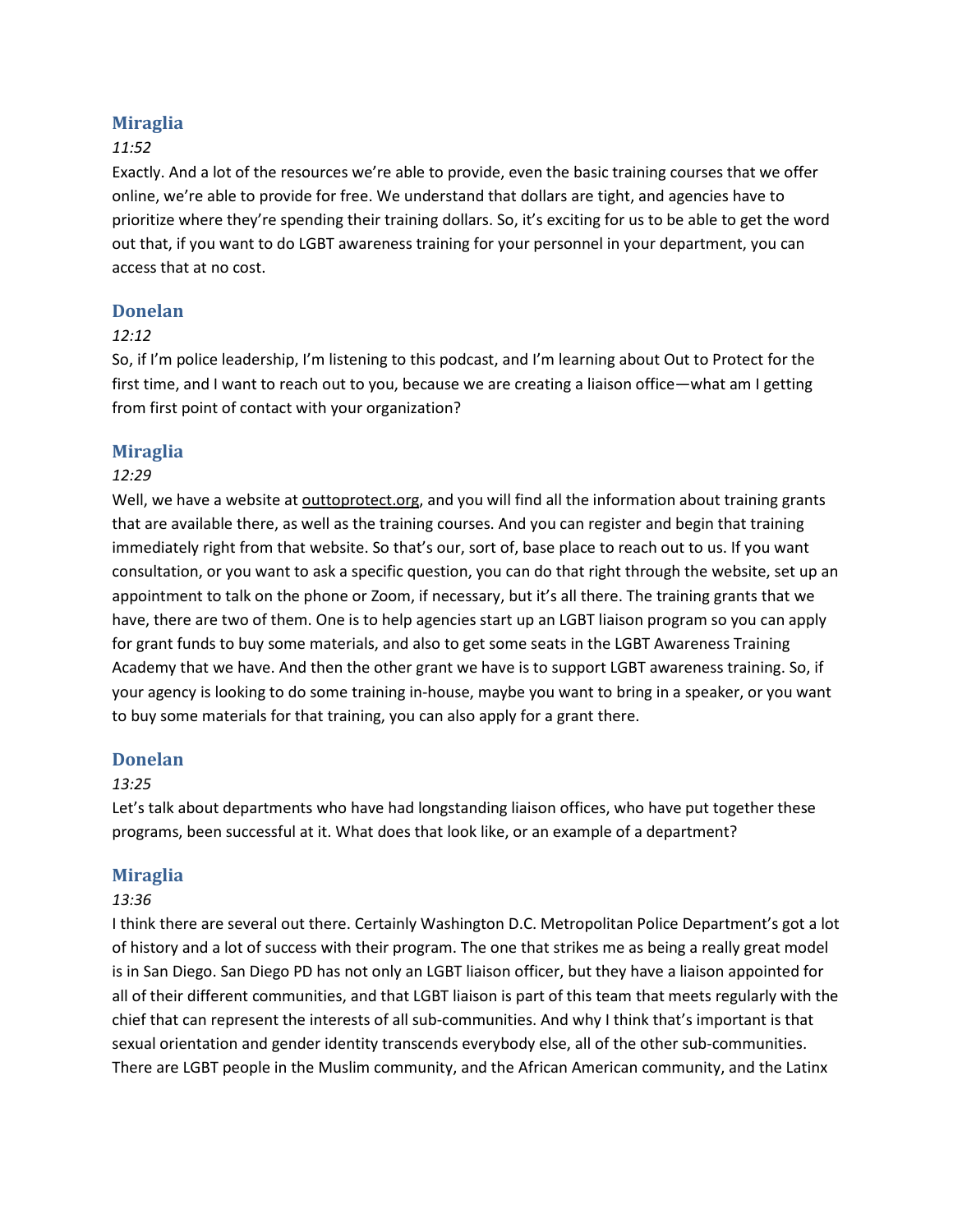# **Miraglia**

## *11:52*

Exactly. And a lot of the resources we're able to provide, even the basic training courses that we offer online, we're able to provide for free. We understand that dollars are tight, and agencies have to prioritize where they're spending their training dollars. So, it's exciting for us to be able to get the word out that, if you want to do LGBT awareness training for your personnel in your department, you can access that at no cost.

## **Donelan**

## *12:12*

So, if I'm police leadership, I'm listening to this podcast, and I'm learning about Out to Protect for the first time, and I want to reach out to you, because we are creating a liaison office—what am I getting from first point of contact with your organization?

# **Miraglia**

## *12:29*

Well, we have a website at [outtoprotect.org](https://www.outtoprotect.org), and you will find all the information about training grants that are available there, as well as the training courses. And you can register and begin that training immediately right from that website. So that's our, sort of, base place to reach out to us. If you want consultation, or you want to ask a specific question, you can do that right through the website, set up an appointment to talk on the phone or Zoom, if necessary, but it's all there. The training grants that we have, there are two of them. One is to help agencies start up an LGBT liaison program so you can apply for grant funds to buy some materials, and also to get some seats in the LGBT Awareness Training Academy that we have. And then the other grant we have is to support LGBT awareness training. So, if your agency is looking to do some training in-house, maybe you want to bring in a speaker, or you want to buy some materials for that training, you can also apply for a grant there.

## **Donelan**

## *13:25*

Let's talk about departments who have had longstanding liaison offices, who have put together these programs, been successful at it. What does that look like, or an example of a department?

## **Miraglia**

## *13:36*

I think there are several out there. Certainly Washington D.C. Metropolitan Police Department's got a lot of history and a lot of success with their program. The one that strikes me as being a really great model is in San Diego. San Diego PD has not only an LGBT liaison officer, but they have a liaison appointed for all of their different communities, and that LGBT liaison is part of this team that meets regularly with the chief that can represent the interests of all sub-communities. And why I think that's important is that sexual orientation and gender identity transcends everybody else, all of the other sub-communities. There are LGBT people in the Muslim community, and the African American community, and the Latinx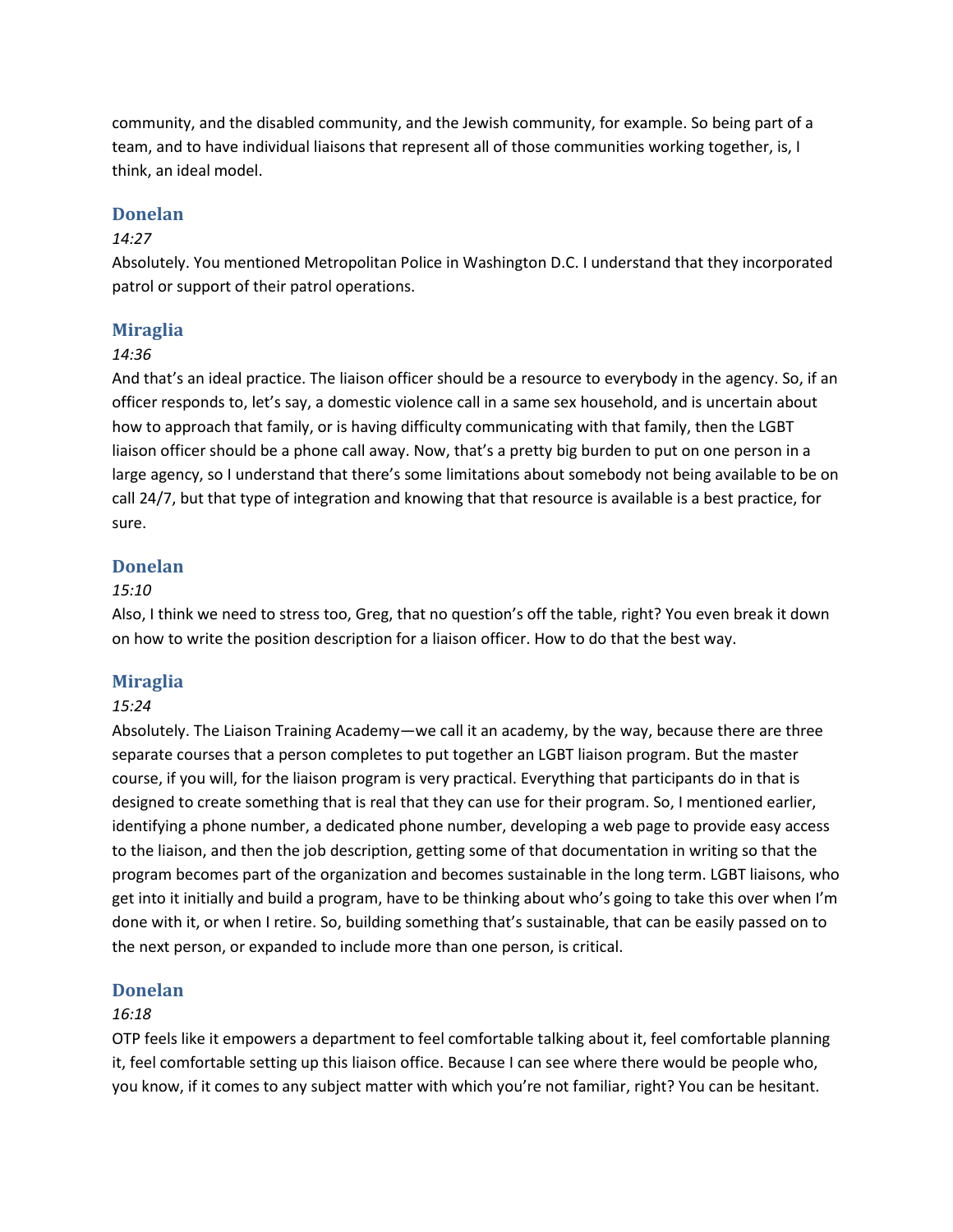community, and the disabled community, and the Jewish community, for example. So being part of a team, and to have individual liaisons that represent all of those communities working together, is, I think, an ideal model.

#### **Donelan**

#### *14:27*

Absolutely. You mentioned Metropolitan Police in Washington D.C. I understand that they incorporated patrol or support of their patrol operations.

#### **Miraglia**

#### *14:36*

And that's an ideal practice. The liaison officer should be a resource to everybody in the agency. So, if an officer responds to, let's say, a domestic violence call in a same sex household, and is uncertain about how to approach that family, or is having difficulty communicating with that family, then the LGBT liaison officer should be a phone call away. Now, that's a pretty big burden to put on one person in a large agency, so I understand that there's some limitations about somebody not being available to be on call 24/7, but that type of integration and knowing that that resource is available is a best practice, for sure.

#### **Donelan**

#### *15:10*

Also, I think we need to stress too, Greg, that no question's off the table, right? You even break it down on how to write the position description for a liaison officer. How to do that the best way.

#### **Miraglia**

#### *15:24*

Absolutely. The Liaison Training Academy—we call it an academy, by the way, because there are three separate courses that a person completes to put together an LGBT liaison program. But the master course, if you will, for the liaison program is very practical. Everything that participants do in that is designed to create something that is real that they can use for their program. So, I mentioned earlier, identifying a phone number, a dedicated phone number, developing a web page to provide easy access to the liaison, and then the job description, getting some of that documentation in writing so that the program becomes part of the organization and becomes sustainable in the long term. LGBT liaisons, who get into it initially and build a program, have to be thinking about who's going to take this over when I'm done with it, or when I retire. So, building something that's sustainable, that can be easily passed on to the next person, or expanded to include more than one person, is critical.

#### **Donelan**

#### *16:18*

OTP feels like it empowers a department to feel comfortable talking about it, feel comfortable planning it, feel comfortable setting up this liaison office. Because I can see where there would be people who, you know, if it comes to any subject matter with which you're not familiar, right? You can be hesitant.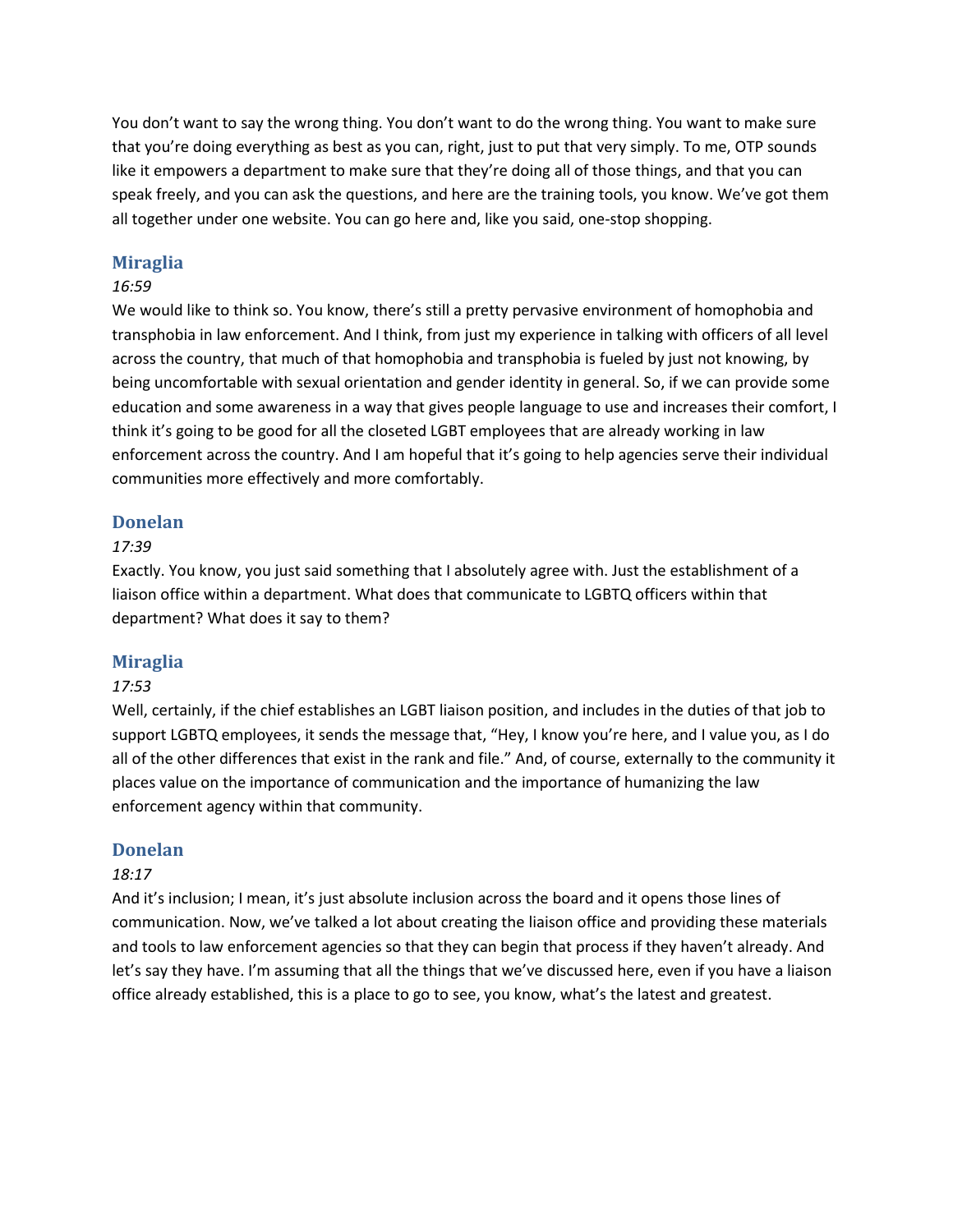You don't want to say the wrong thing. You don't want to do the wrong thing. You want to make sure that you're doing everything as best as you can, right, just to put that very simply. To me, OTP sounds like it empowers a department to make sure that they're doing all of those things, and that you can speak freely, and you can ask the questions, and here are the training tools, you know. We've got them all together under one website. You can go here and, like you said, one-stop shopping.

## **Miraglia**

## *16:59*

We would like to think so. You know, there's still a pretty pervasive environment of homophobia and transphobia in law enforcement. And I think, from just my experience in talking with officers of all level across the country, that much of that homophobia and transphobia is fueled by just not knowing, by being uncomfortable with sexual orientation and gender identity in general. So, if we can provide some education and some awareness in a way that gives people language to use and increases their comfort, I think it's going to be good for all the closeted LGBT employees that are already working in law enforcement across the country. And I am hopeful that it's going to help agencies serve their individual communities more effectively and more comfortably.

## **Donelan**

## *17:39*

Exactly. You know, you just said something that I absolutely agree with. Just the establishment of a liaison office within a department. What does that communicate to LGBTQ officers within that department? What does it say to them?

## **Miraglia**

## *17:53*

Well, certainly, if the chief establishes an LGBT liaison position, and includes in the duties of that job to support LGBTQ employees, it sends the message that, "Hey, I know you're here, and I value you, as I do all of the other differences that exist in the rank and file." And, of course, externally to the community it places value on the importance of communication and the importance of humanizing the law enforcement agency within that community.

## **Donelan**

## *18:17*

And it's inclusion; I mean, it's just absolute inclusion across the board and it opens those lines of communication. Now, we've talked a lot about creating the liaison office and providing these materials and tools to law enforcement agencies so that they can begin that process if they haven't already. And let's say they have. I'm assuming that all the things that we've discussed here, even if you have a liaison office already established, this is a place to go to see, you know, what's the latest and greatest.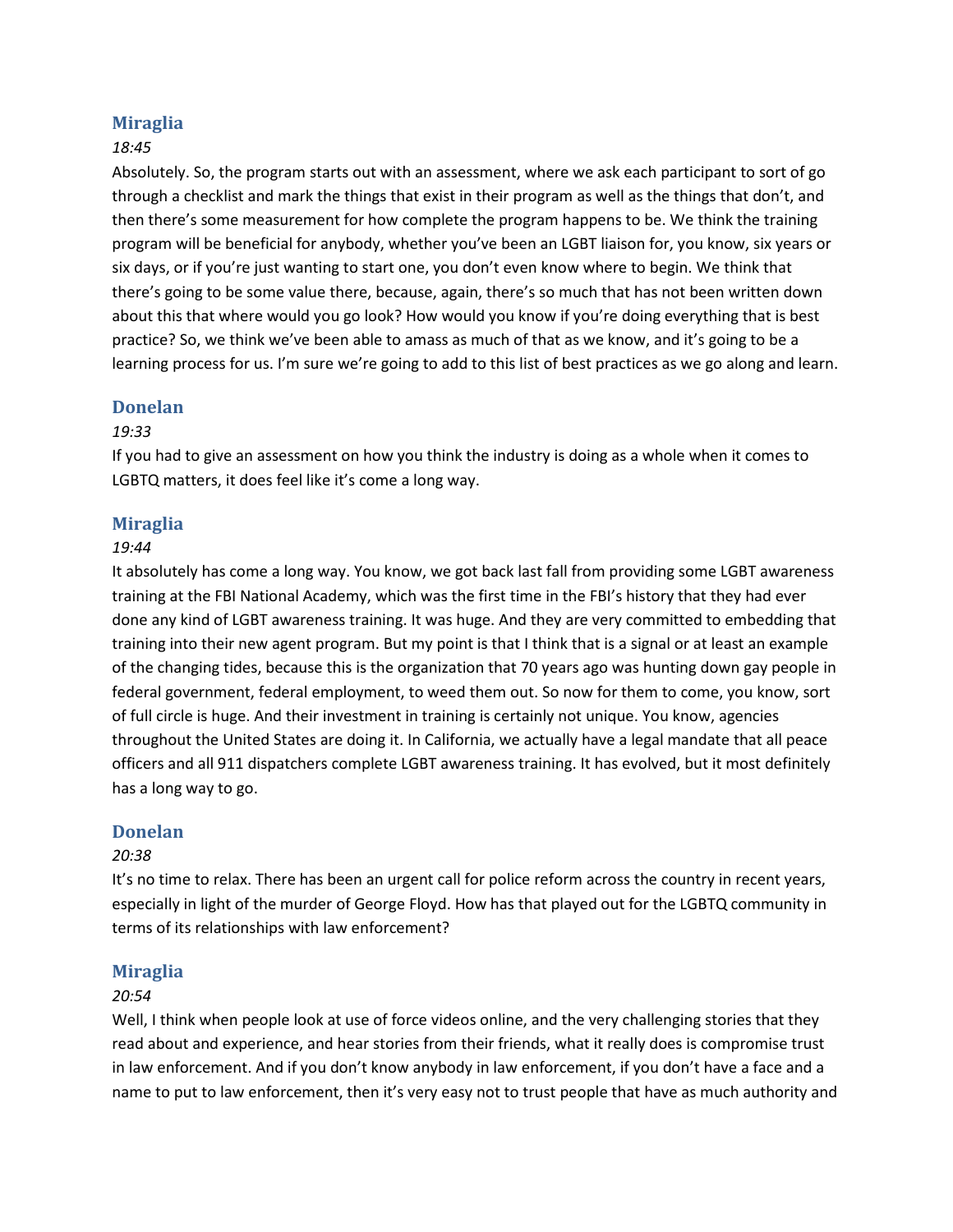# **Miraglia**

## *18:45*

Absolutely. So, the program starts out with an assessment, where we ask each participant to sort of go through a checklist and mark the things that exist in their program as well as the things that don't, and then there's some measurement for how complete the program happens to be. We think the training program will be beneficial for anybody, whether you've been an LGBT liaison for, you know, six years or six days, or if you're just wanting to start one, you don't even know where to begin. We think that there's going to be some value there, because, again, there's so much that has not been written down about this that where would you go look? How would you know if you're doing everything that is best practice? So, we think we've been able to amass as much of that as we know, and it's going to be a learning process for us. I'm sure we're going to add to this list of best practices as we go along and learn.

## **Donelan**

## *19:33*

If you had to give an assessment on how you think the industry is doing as a whole when it comes to LGBTQ matters, it does feel like it's come a long way.

## **Miraglia**

#### *19:44*

It absolutely has come a long way. You know, we got back last fall from providing some LGBT awareness training at the FBI National Academy, which was the first time in the FBI's history that they had ever done any kind of LGBT awareness training. It was huge. And they are very committed to embedding that training into their new agent program. But my point is that I think that is a signal or at least an example of the changing tides, because this is the organization that 70 years ago was hunting down gay people in federal government, federal employment, to weed them out. So now for them to come, you know, sort of full circle is huge. And their investment in training is certainly not unique. You know, agencies throughout the United States are doing it. In California, we actually have a legal mandate that all peace officers and all 911 dispatchers complete LGBT awareness training. It has evolved, but it most definitely has a long way to go.

## **Donelan**

## *20:38*

It's no time to relax. There has been an urgent call for police reform across the country in recent years, especially in light of the murder of George Floyd. How has that played out for the LGBTQ community in terms of its relationships with law enforcement?

## **Miraglia**

## *20:54*

Well, I think when people look at use of force videos online, and the very challenging stories that they read about and experience, and hear stories from their friends, what it really does is compromise trust in law enforcement. And if you don't know anybody in law enforcement, if you don't have a face and a name to put to law enforcement, then it's very easy not to trust people that have as much authority and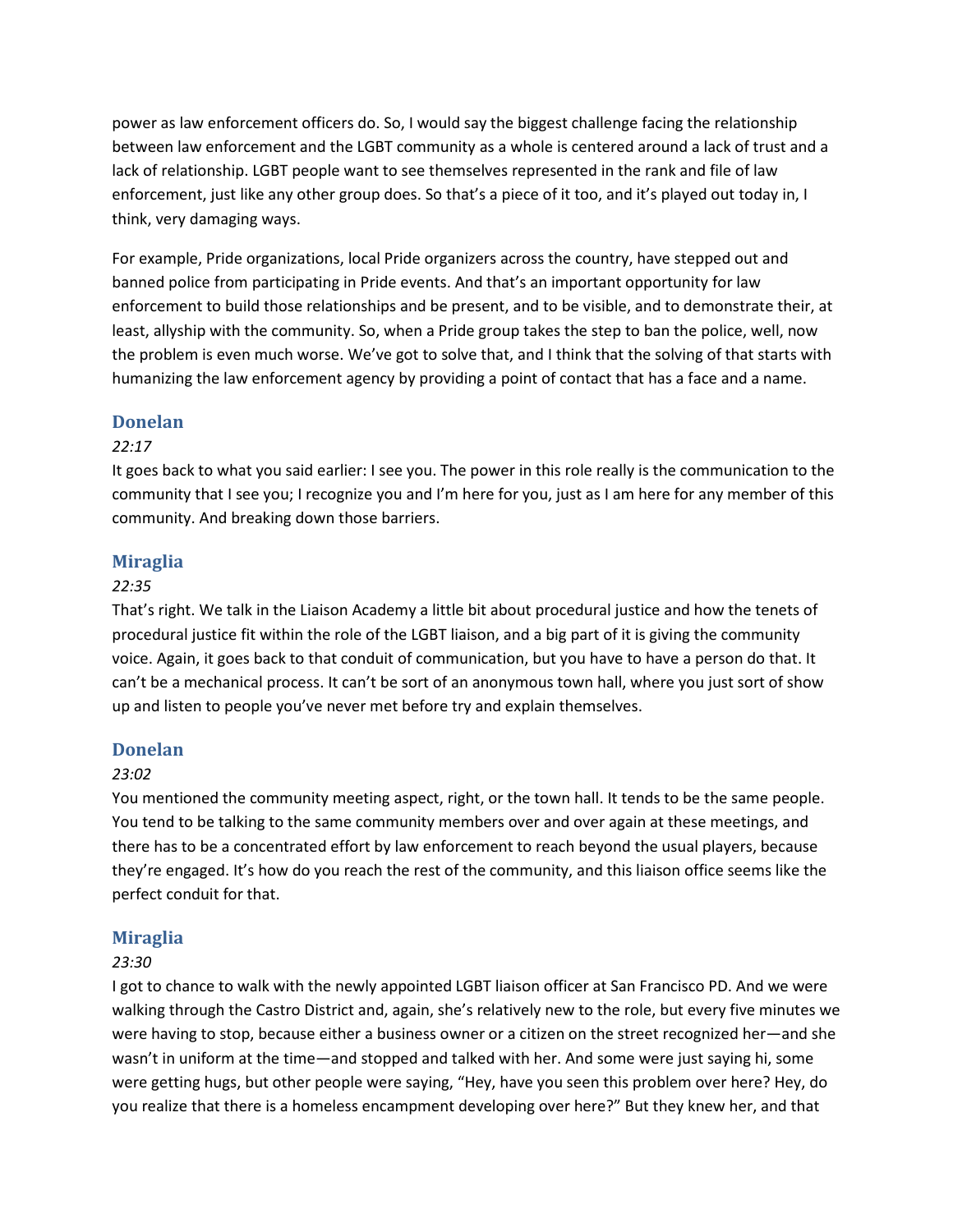power as law enforcement officers do. So, I would say the biggest challenge facing the relationship between law enforcement and the LGBT community as a whole is centered around a lack of trust and a lack of relationship. LGBT people want to see themselves represented in the rank and file of law enforcement, just like any other group does. So that's a piece of it too, and it's played out today in, I think, very damaging ways.

For example, Pride organizations, local Pride organizers across the country, have stepped out and banned police from participating in Pride events. And that's an important opportunity for law enforcement to build those relationships and be present, and to be visible, and to demonstrate their, at least, allyship with the community. So, when a Pride group takes the step to ban the police, well, now the problem is even much worse. We've got to solve that, and I think that the solving of that starts with humanizing the law enforcement agency by providing a point of contact that has a face and a name.

## **Donelan**

## *22:17*

It goes back to what you said earlier: I see you. The power in this role really is the communication to the community that I see you; I recognize you and I'm here for you, just as I am here for any member of this community. And breaking down those barriers.

## **Miraglia**

## *22:35*

That's right. We talk in the Liaison Academy a little bit about procedural justice and how the tenets of procedural justice fit within the role of the LGBT liaison, and a big part of it is giving the community voice. Again, it goes back to that conduit of communication, but you have to have a person do that. It can't be a mechanical process. It can't be sort of an anonymous town hall, where you just sort of show up and listen to people you've never met before try and explain themselves.

# **Donelan**

## *23:02*

You mentioned the community meeting aspect, right, or the town hall. It tends to be the same people. You tend to be talking to the same community members over and over again at these meetings, and there has to be a concentrated effort by law enforcement to reach beyond the usual players, because they're engaged. It's how do you reach the rest of the community, and this liaison office seems like the perfect conduit for that.

# **Miraglia**

## *23:30*

I got to chance to walk with the newly appointed LGBT liaison officer at San Francisco PD. And we were walking through the Castro District and, again, she's relatively new to the role, but every five minutes we were having to stop, because either a business owner or a citizen on the street recognized her—and she wasn't in uniform at the time—and stopped and talked with her. And some were just saying hi, some were getting hugs, but other people were saying, "Hey, have you seen this problem over here? Hey, do you realize that there is a homeless encampment developing over here?" But they knew her, and that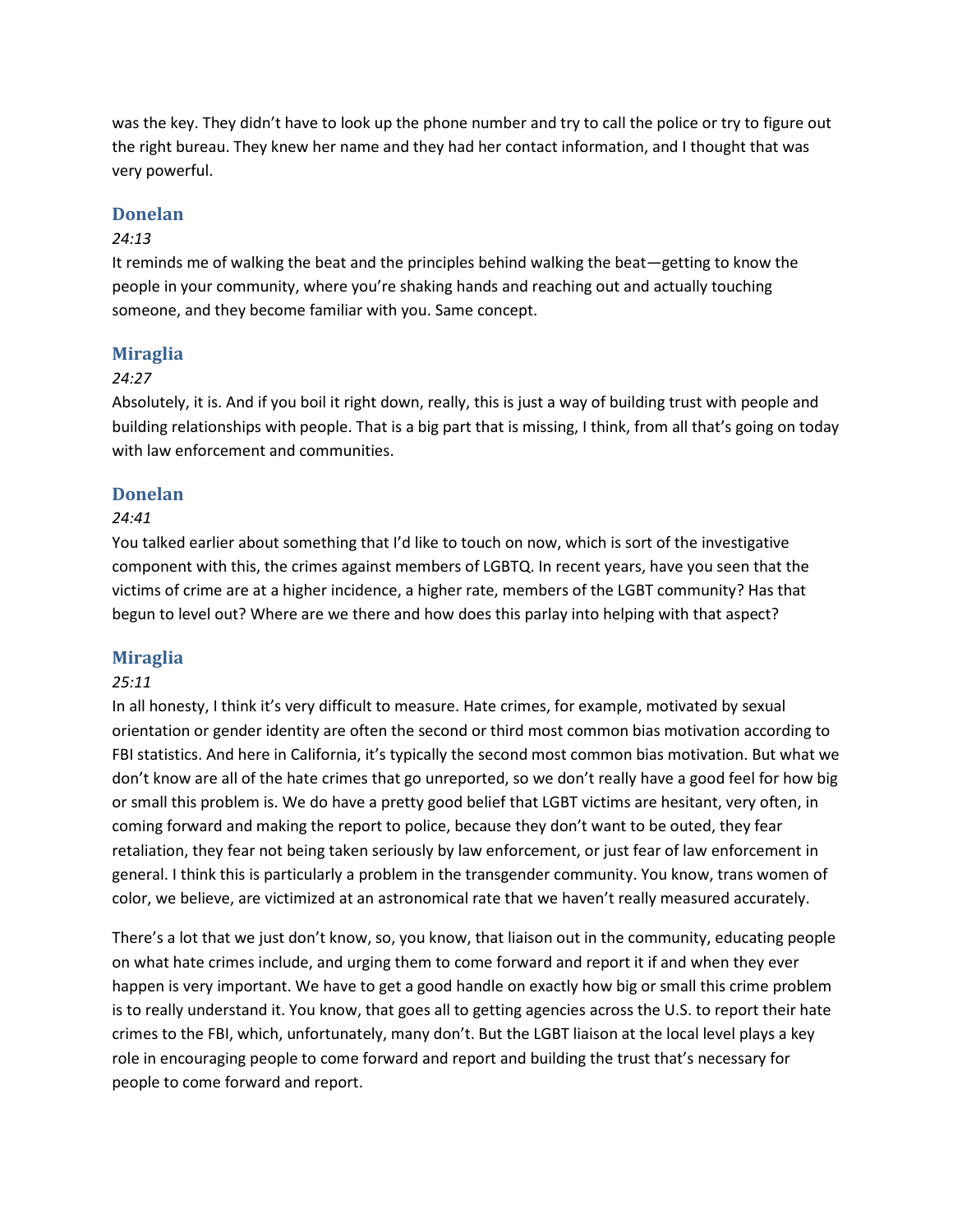was the key. They didn't have to look up the phone number and try to call the police or try to figure out the right bureau. They knew her name and they had her contact information, and I thought that was very powerful.

## **Donelan**

## *24:13*

It reminds me of walking the beat and the principles behind walking the beat—getting to know the people in your community, where you're shaking hands and reaching out and actually touching someone, and they become familiar with you. Same concept.

## **Miraglia**

## *24:27*

Absolutely, it is. And if you boil it right down, really, this is just a way of building trust with people and building relationships with people. That is a big part that is missing, I think, from all that's going on today with law enforcement and communities.

## **Donelan**

## *24:41*

You talked earlier about something that I'd like to touch on now, which is sort of the investigative component with this, the crimes against members of LGBTQ. In recent years, have you seen that the victims of crime are at a higher incidence, a higher rate, members of the LGBT community? Has that begun to level out? Where are we there and how does this parlay into helping with that aspect?

# **Miraglia**

## *25:11*

In all honesty, I think it's very difficult to measure. Hate crimes, for example, motivated by sexual orientation or gender identity are often the second or third most common bias motivation according to FBI statistics. And here in California, it's typically the second most common bias motivation. But what we don't know are all of the hate crimes that go unreported, so we don't really have a good feel for how big or small this problem is. We do have a pretty good belief that LGBT victims are hesitant, very often, in coming forward and making the report to police, because they don't want to be outed, they fear retaliation, they fear not being taken seriously by law enforcement, or just fear of law enforcement in general. I think this is particularly a problem in the transgender community. You know, trans women of color, we believe, are victimized at an astronomical rate that we haven't really measured accurately.

There's a lot that we just don't know, so, you know, that liaison out in the community, educating people on what hate crimes include, and urging them to come forward and report it if and when they ever happen is very important. We have to get a good handle on exactly how big or small this crime problem is to really understand it. You know, that goes all to getting agencies across the U.S. to report their hate crimes to the FBI, which, unfortunately, many don't. But the LGBT liaison at the local level plays a key role in encouraging people to come forward and report and building the trust that's necessary for people to come forward and report.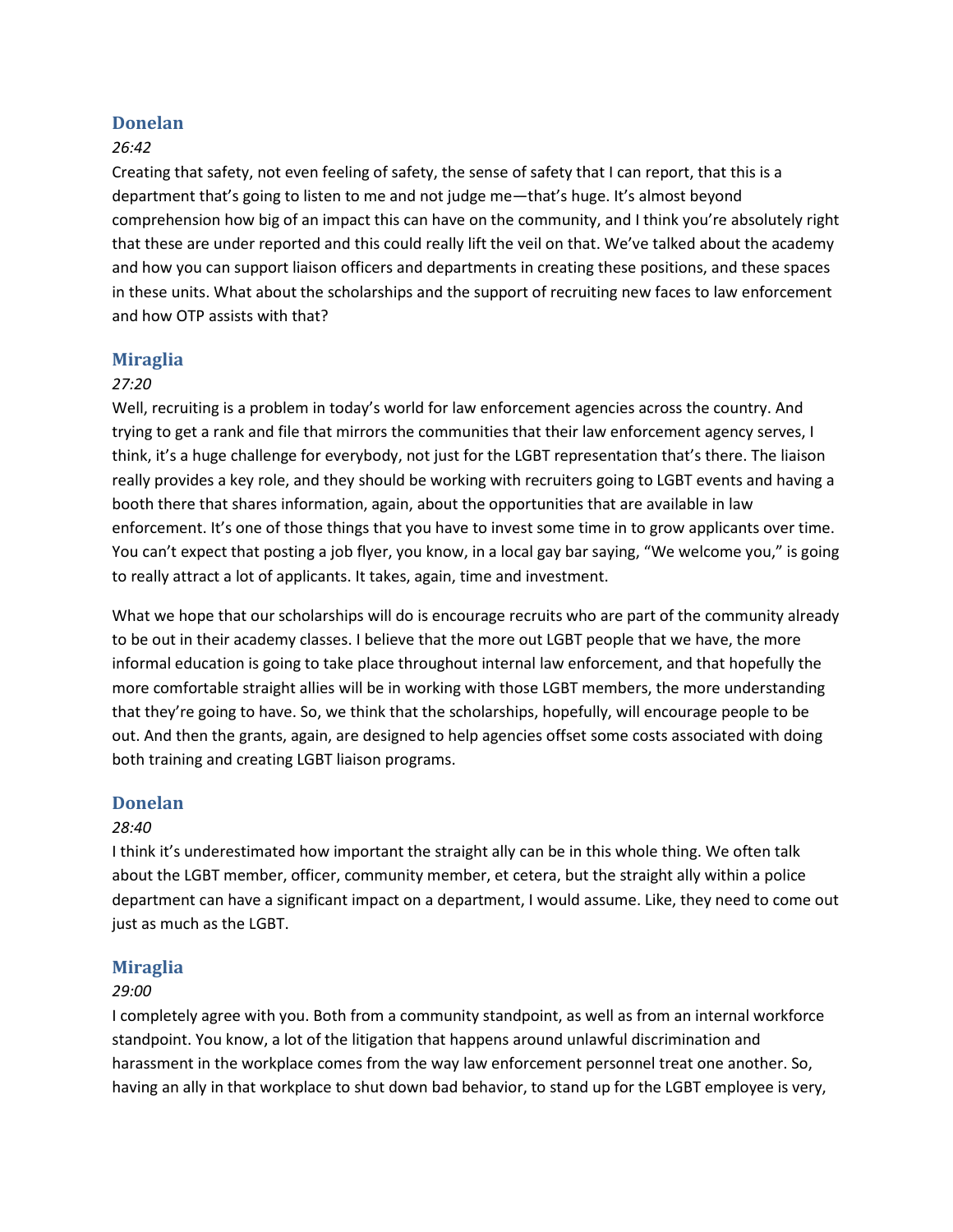## **Donelan**

## *26:42*

Creating that safety, not even feeling of safety, the sense of safety that I can report, that this is a department that's going to listen to me and not judge me—that's huge. It's almost beyond comprehension how big of an impact this can have on the community, and I think you're absolutely right that these are under reported and this could really lift the veil on that. We've talked about the academy and how you can support liaison officers and departments in creating these positions, and these spaces in these units. What about the scholarships and the support of recruiting new faces to law enforcement and how OTP assists with that?

## **Miraglia**

#### *27:20*

Well, recruiting is a problem in today's world for law enforcement agencies across the country. And trying to get a rank and file that mirrors the communities that their law enforcement agency serves, I think, it's a huge challenge for everybody, not just for the LGBT representation that's there. The liaison really provides a key role, and they should be working with recruiters going to LGBT events and having a booth there that shares information, again, about the opportunities that are available in law enforcement. It's one of those things that you have to invest some time in to grow applicants over time. You can't expect that posting a job flyer, you know, in a local gay bar saying, "We welcome you," is going to really attract a lot of applicants. It takes, again, time and investment.

What we hope that our scholarships will do is encourage recruits who are part of the community already to be out in their academy classes. I believe that the more out LGBT people that we have, the more informal education is going to take place throughout internal law enforcement, and that hopefully the more comfortable straight allies will be in working with those LGBT members, the more understanding that they're going to have. So, we think that the scholarships, hopefully, will encourage people to be out. And then the grants, again, are designed to help agencies offset some costs associated with doing both training and creating LGBT liaison programs.

## **Donelan**

#### *28:40*

I think it's underestimated how important the straight ally can be in this whole thing. We often talk about the LGBT member, officer, community member, et cetera, but the straight ally within a police department can have a significant impact on a department, I would assume. Like, they need to come out just as much as the LGBT.

## **Miraglia**

#### *29:00*

I completely agree with you. Both from a community standpoint, as well as from an internal workforce standpoint. You know, a lot of the litigation that happens around unlawful discrimination and harassment in the workplace comes from the way law enforcement personnel treat one another. So, having an ally in that workplace to shut down bad behavior, to stand up for the LGBT employee is very,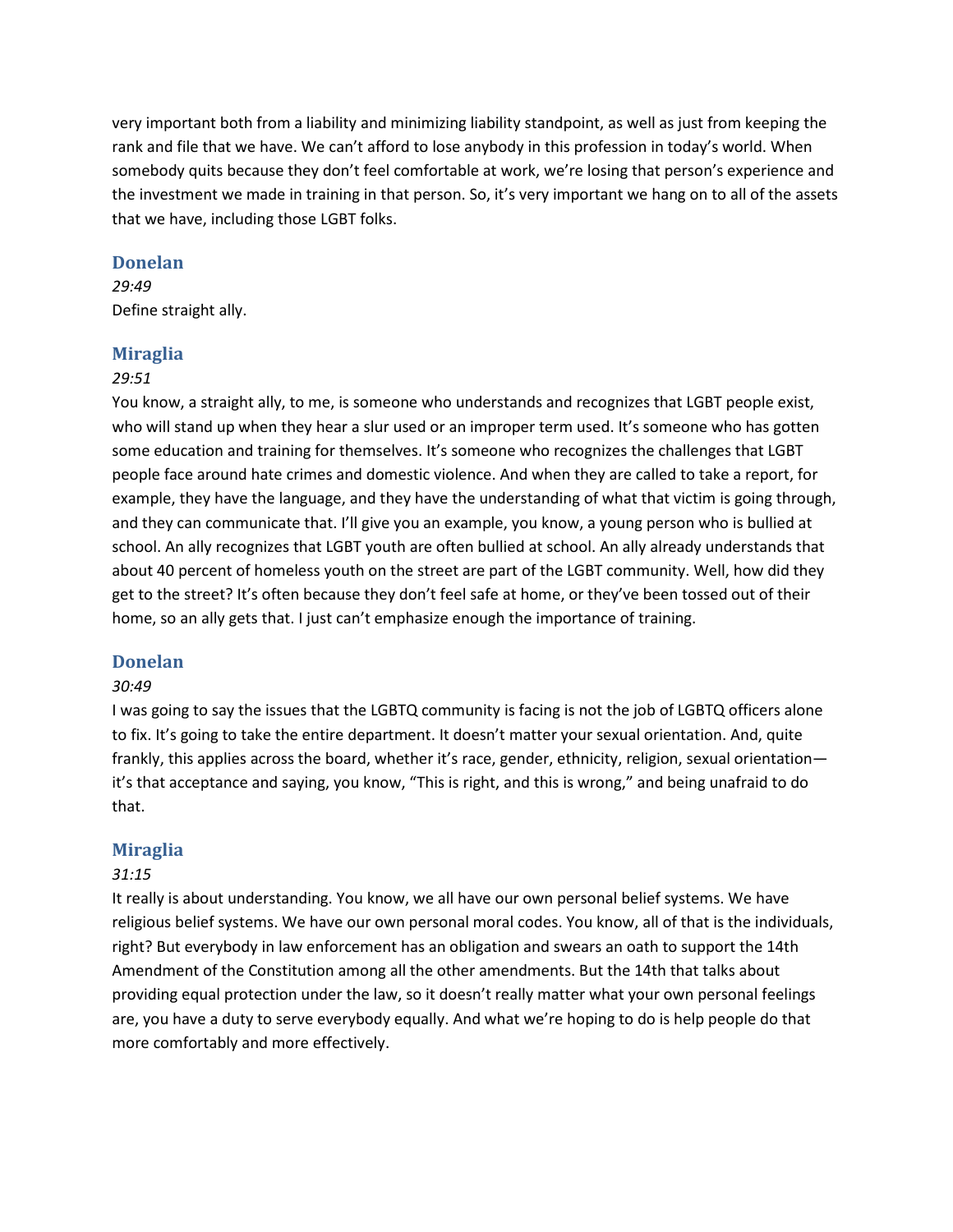very important both from a liability and minimizing liability standpoint, as well as just from keeping the rank and file that we have. We can't afford to lose anybody in this profession in today's world. When somebody quits because they don't feel comfortable at work, we're losing that person's experience and the investment we made in training in that person. So, it's very important we hang on to all of the assets that we have, including those LGBT folks.

## **Donelan**

#### *29:49*

Define straight ally.

#### **Miraglia**

#### *29:51*

You know, a straight ally, to me, is someone who understands and recognizes that LGBT people exist, who will stand up when they hear a slur used or an improper term used. It's someone who has gotten some education and training for themselves. It's someone who recognizes the challenges that LGBT people face around hate crimes and domestic violence. And when they are called to take a report, for example, they have the language, and they have the understanding of what that victim is going through, and they can communicate that. I'll give you an example, you know, a young person who is bullied at school. An ally recognizes that LGBT youth are often bullied at school. An ally already understands that about 40 percent of homeless youth on the street are part of the LGBT community. Well, how did they get to the street? It's often because they don't feel safe at home, or they've been tossed out of their home, so an ally gets that. I just can't emphasize enough the importance of training.

## **Donelan**

## *30:49*

I was going to say the issues that the LGBTQ community is facing is not the job of LGBTQ officers alone to fix. It's going to take the entire department. It doesn't matter your sexual orientation. And, quite frankly, this applies across the board, whether it's race, gender, ethnicity, religion, sexual orientation it's that acceptance and saying, you know, "This is right, and this is wrong," and being unafraid to do that.

## **Miraglia**

#### *31:15*

It really is about understanding. You know, we all have our own personal belief systems. We have religious belief systems. We have our own personal moral codes. You know, all of that is the individuals, right? But everybody in law enforcement has an obligation and swears an oath to support the 14th Amendment of the Constitution among all the other amendments. But the 14th that talks about providing equal protection under the law, so it doesn't really matter what your own personal feelings are, you have a duty to serve everybody equally. And what we're hoping to do is help people do that more comfortably and more effectively.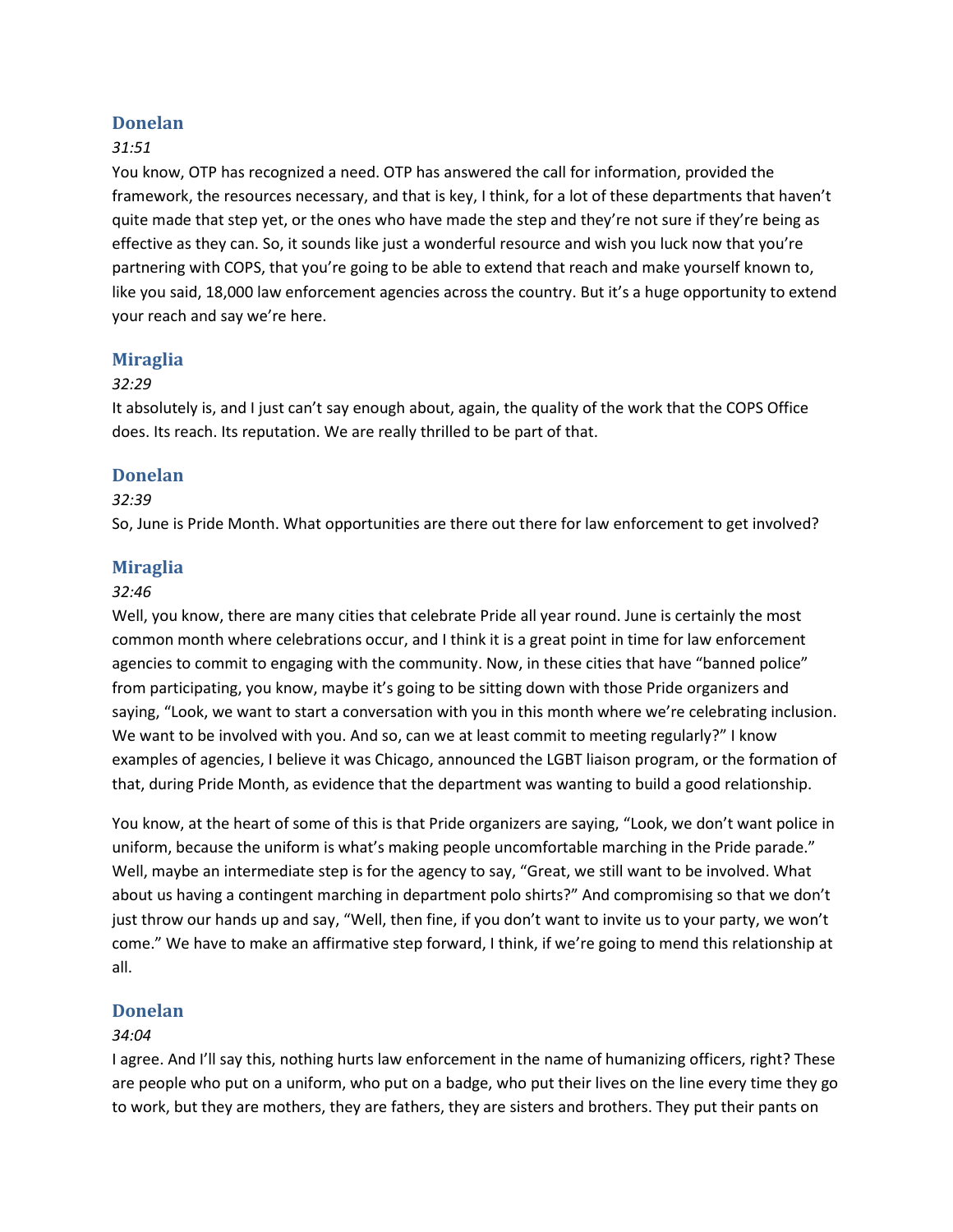## **Donelan**

## *31:51*

You know, OTP has recognized a need. OTP has answered the call for information, provided the framework, the resources necessary, and that is key, I think, for a lot of these departments that haven't quite made that step yet, or the ones who have made the step and they're not sure if they're being as effective as they can. So, it sounds like just a wonderful resource and wish you luck now that you're partnering with COPS, that you're going to be able to extend that reach and make yourself known to, like you said, 18,000 law enforcement agencies across the country. But it's a huge opportunity to extend your reach and say we're here.

## **Miraglia**

## *32:29*

It absolutely is, and I just can't say enough about, again, the quality of the work that the COPS Office does. Its reach. Its reputation. We are really thrilled to be part of that.

## **Donelan**

## *32:39*

So, June is Pride Month. What opportunities are there out there for law enforcement to get involved?

## **Miraglia**

#### *32:46*

Well, you know, there are many cities that celebrate Pride all year round. June is certainly the most common month where celebrations occur, and I think it is a great point in time for law enforcement agencies to commit to engaging with the community. Now, in these cities that have "banned police" from participating, you know, maybe it's going to be sitting down with those Pride organizers and saying, "Look, we want to start a conversation with you in this month where we're celebrating inclusion. We want to be involved with you. And so, can we at least commit to meeting regularly?" I know examples of agencies, I believe it was Chicago, announced the LGBT liaison program, or the formation of that, during Pride Month, as evidence that the department was wanting to build a good relationship.

You know, at the heart of some of this is that Pride organizers are saying, "Look, we don't want police in uniform, because the uniform is what's making people uncomfortable marching in the Pride parade." Well, maybe an intermediate step is for the agency to say, "Great, we still want to be involved. What about us having a contingent marching in department polo shirts?" And compromising so that we don't just throw our hands up and say, "Well, then fine, if you don't want to invite us to your party, we won't come." We have to make an affirmative step forward, I think, if we're going to mend this relationship at all.

## **Donelan**

## *34:04*

I agree. And I'll say this, nothing hurts law enforcement in the name of humanizing officers, right? These are people who put on a uniform, who put on a badge, who put their lives on the line every time they go to work, but they are mothers, they are fathers, they are sisters and brothers. They put their pants on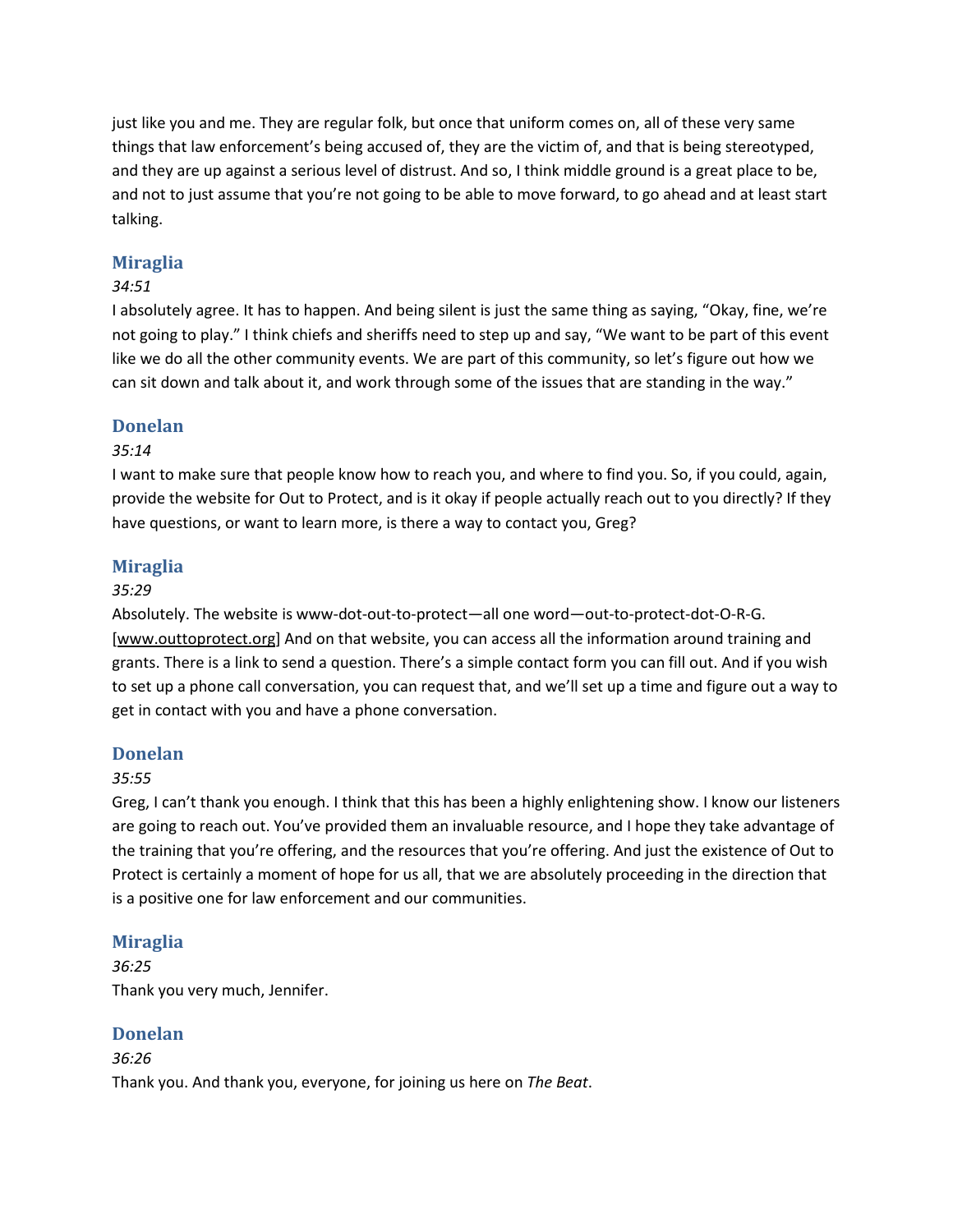just like you and me. They are regular folk, but once that uniform comes on, all of these very same things that law enforcement's being accused of, they are the victim of, and that is being stereotyped, and they are up against a serious level of distrust. And so, I think middle ground is a great place to be, and not to just assume that you're not going to be able to move forward, to go ahead and at least start talking.

# **Miraglia**

# *34:51*

I absolutely agree. It has to happen. And being silent is just the same thing as saying, "Okay, fine, we're not going to play." I think chiefs and sheriffs need to step up and say, "We want to be part of this event like we do all the other community events. We are part of this community, so let's figure out how we can sit down and talk about it, and work through some of the issues that are standing in the way."

## **Donelan**

## *35:14*

I want to make sure that people know how to reach you, and where to find you. So, if you could, again, provide the website for Out to Protect, and is it okay if people actually reach out to you directly? If they have questions, or want to learn more, is there a way to contact you, Greg?

## **Miraglia**

#### *35:29*

Absolutely. The website is www-dot-out-to-protect—all one word—out-to-protect-dot-O-R-G. [\[www.outtoprotect.org\]](https://www.outtoprotect.org) And on that website, you can access all the information around training and grants. There is a link to send a question. There's a simple contact form you can fill out. And if you wish to set up a phone call conversation, you can request that, and we'll set up a time and figure out a way to get in contact with you and have a phone conversation.

## **Donelan**

## *35:55*

Greg, I can't thank you enough. I think that this has been a highly enlightening show. I know our listeners are going to reach out. You've provided them an invaluable resource, and I hope they take advantage of the training that you're offering, and the resources that you're offering. And just the existence of Out to Protect is certainly a moment of hope for us all, that we are absolutely proceeding in the direction that is a positive one for law enforcement and our communities.

## **Miraglia**

*36:25* Thank you very much, Jennifer.

## **Donelan**

*36:26* Thank you. And thank you, everyone, for joining us here on *The Beat*.